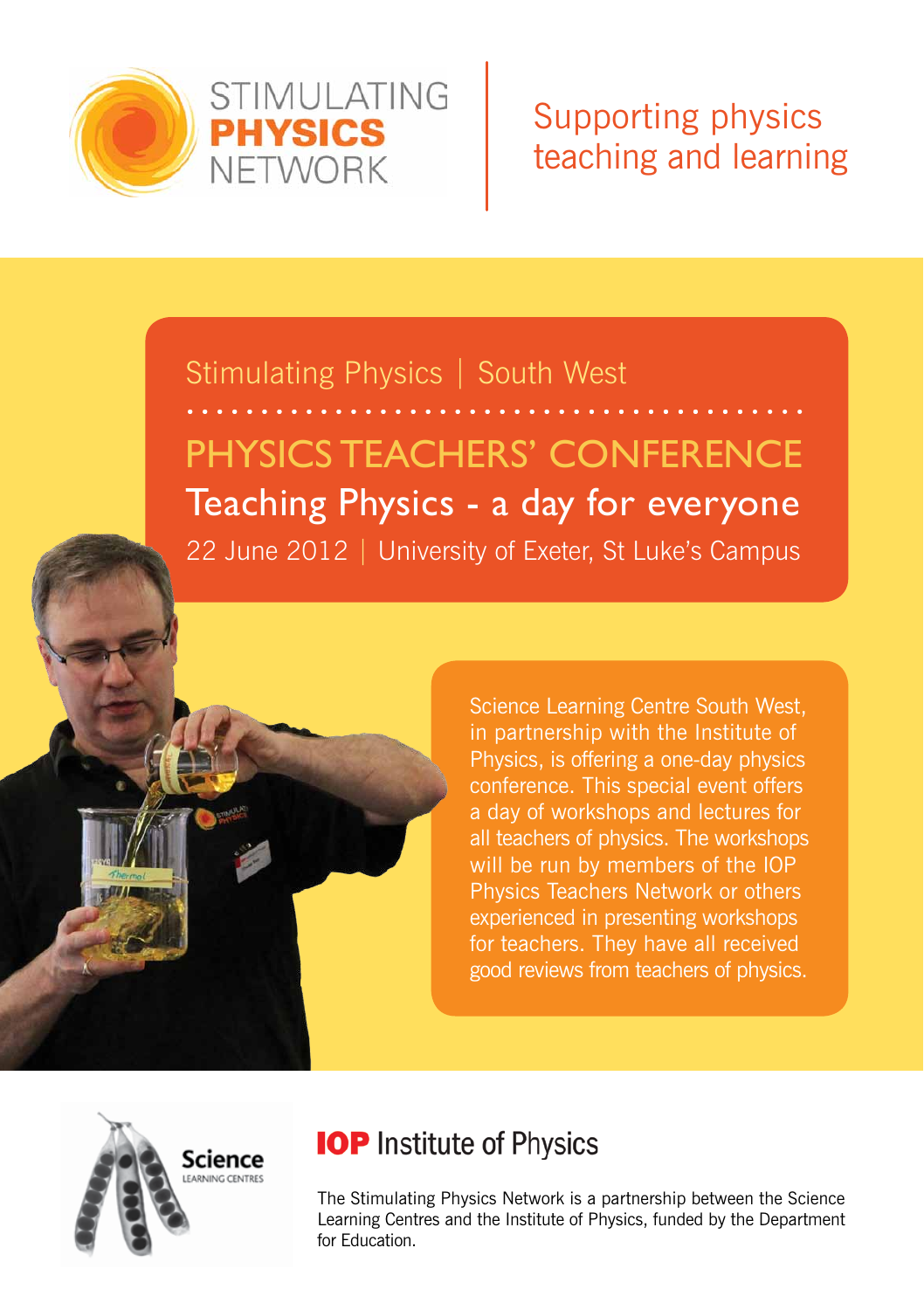



# Stimulating Physics | South West PHYSICS TEACHERS' CONFERENCE Teaching Physics - a day for everyone 22 June 2012 | University of Exeter, St Luke's Campus

Science Learning Centre South West, in partnership with the Institute of Physics, is offering a one-day physics conference. This special event offers a day of workshops and lectures for all teachers of physics. The workshops will be run by members of the IOP Physics Teachers Network or others experienced in presenting workshops for teachers. They have all received good reviews from teachers of physics.



# **IOP** Institute of Physics

The Stimulating Physics Network is a partnership between the Science Learning Centres and the Institute of Physics, funded by the Department for Education.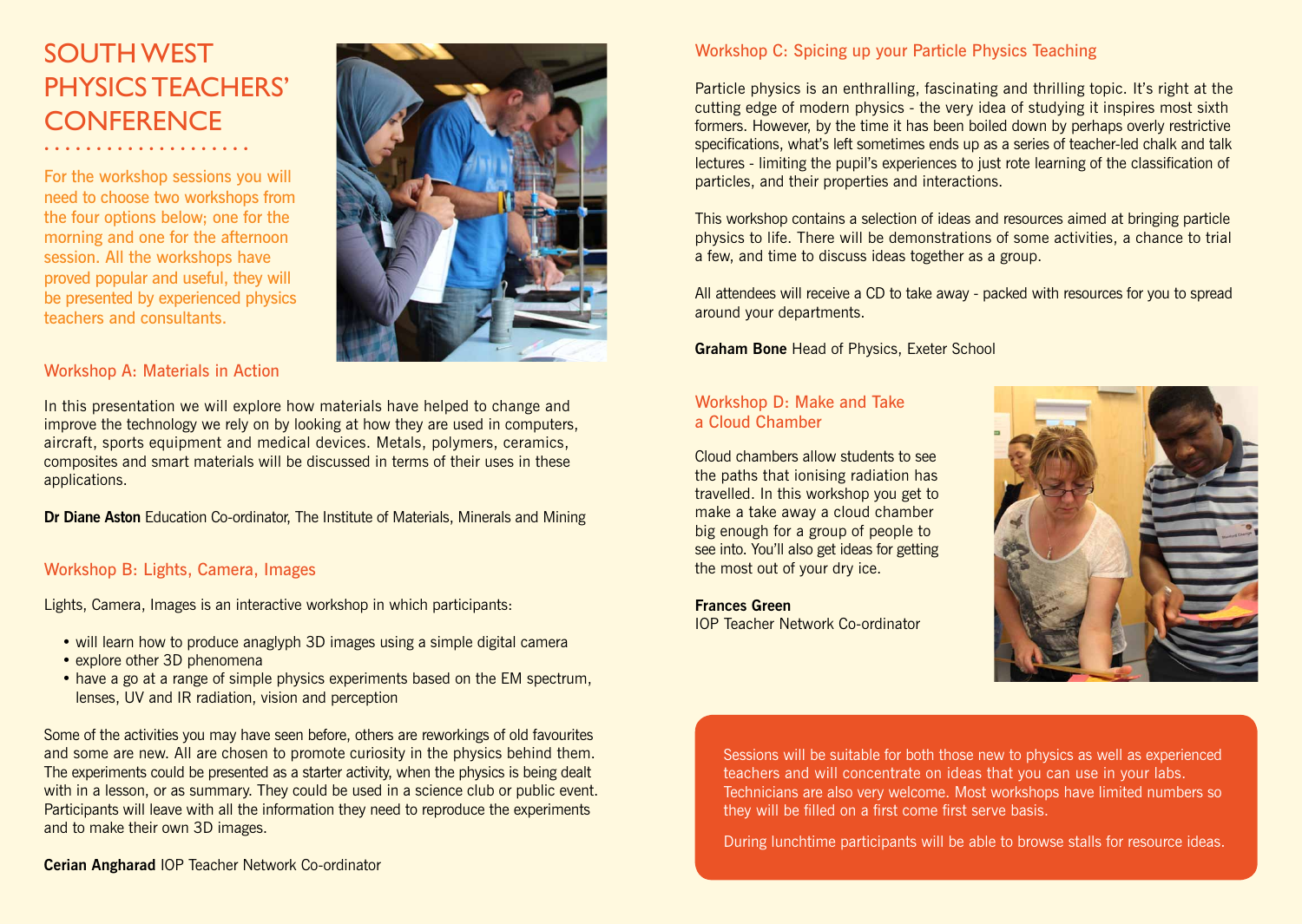# SOUTH WEST PHYSICS TEACHERS' **CONFERENCE**

••••••••••••••••••••

For the workshop sessions you will need to choose two workshops from the four options below; one for the morning and one for the afternoon session. All the workshops have proved popular and useful, they will be presented by experienced physics teachers and consultants.

### Workshop A: Materials in Action

In this presentation we will explore how materials have helped to change and improve the technology we rely on by looking at how they are used in computers, aircraft, sports equipment and medical devices. Metals, polymers, ceramics, composites and smart materials will be discussed in terms of their uses in these applications.

### **Dr Diane Aston** Education Co-ordinator, The Institute of Materials, Minerals and Mining

### Workshop B: Lights, Camera, Images

Lights, Camera, Images is an interactive workshop in which participants:

- will learn how to produce anaglyph 3D images using a simple digital camera
- explore other 3D phenomena
- have a go at a range of simple physics experiments based on the EM spectrum, lenses, UV and IR radiation, vision and perception

Some of the activities you may have seen before, others are reworkings of old favourites and some are new. All are chosen to promote curiosity in the physics behind them. The experiments could be presented as a starter activity, when the physics is being dealt with in a lesson, or as summary. They could be used in a science club or public event. Participants will leave with all the information they need to reproduce the experiments and to make their own 3D images.



Particle physics is an enthralling, fascinating and thrilling topic. It's right at the cutting edge of modern physics - the very idea of studying it inspires most sixth formers. However, by the time it has been boiled down by perhaps overly restrictive specifications, what's left sometimes ends up as a series of teacher-led chalk and talk lectures - limiting the pupil's experiences to just rote learning of the classification of particles, and their properties and interactions.

This workshop contains a selection of ideas and resources aimed at bringing particle physics to life. There will be demonstrations of some activities, a chance to trial a few, and time to discuss ideas together as a group.

All attendees will receive a CD to take away - packed with resources for you to spread around your departments.

**Graham Bone** Head of Physics, Exeter School

## Workshop D: Make and Take a Cloud Chamber

Cloud chambers allow students to see the paths that ionising radiation has travelled. In this workshop you get to make a take away a cloud chamber big enough for a group of people to see into. You'll also get ideas for getting the most out of your dry ice.

**Frances Green**  IOP Teacher Network Co-ordinator



Sessions will be suitable for both those new to physics as well as experienced teachers and will concentrate on ideas that you can use in your labs. Technicians are also very welcome. Most workshops have limited numbers so they will be filled on a first come first serve basis.

During lunchtime participants will be able to browse stalls for resource ideas.